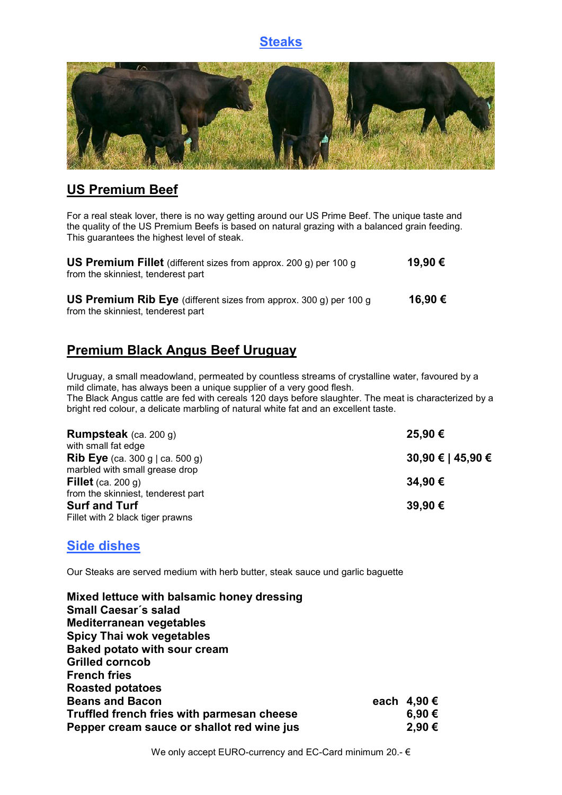# **Steaks**



# **US Premium Beef**

For a real steak lover, there is no way getting around our US Prime Beef. The unique taste and the quality of the US Premium Beefs is based on natural grazing with a balanced grain feeding. This guarantees the highest level of steak.

| <b>US Premium Fillet</b> (different sizes from approx. 200 g) per 100 g<br>from the skinniest, tenderest part  |         |  |
|----------------------------------------------------------------------------------------------------------------|---------|--|
| <b>US Premium Rib Eye</b> (different sizes from approx. 300 g) per 100 g<br>from the skinniest, tenderest part | 16.90 € |  |

# **Premium Black Angus Beef Uruguay**

Uruguay, a small meadowland, permeated by countless streams of crystalline water, favoured by a mild climate, has always been a unique supplier of a very good flesh. The Black Angus cattle are fed with cereals 120 days before slaughter. The meat is characterized by a bright red colour, a delicate marbling of natural white fat and an excellent taste.

| <b>Rumpsteak</b> (ca. 200 g)           | 25,90 €           |
|----------------------------------------|-------------------|
| with small fat edge                    |                   |
| <b>Rib Eye</b> (ca. 300 g   ca. 500 g) | 30,90 €   45,90 € |
| marbled with small grease drop         |                   |
| Fillet (ca. 200 g)                     | 34,90€            |
| from the skinniest, tenderest part     |                   |
| <b>Surf and Turf</b>                   | 39,90€            |
| Fillet with 2 black tiger prawns       |                   |

# **Side dishes**

Our Steaks are served medium with herb butter, steak sauce und garlic baguette

| Mixed lettuce with balsamic honey dressing |             |
|--------------------------------------------|-------------|
| Small Caesar's salad                       |             |
| <b>Mediterranean vegetables</b>            |             |
| <b>Spicy Thai wok vegetables</b>           |             |
| <b>Baked potato with sour cream</b>        |             |
| <b>Grilled corncob</b>                     |             |
| <b>French fries</b>                        |             |
| <b>Roasted potatoes</b>                    |             |
| <b>Beans and Bacon</b>                     | each 4,90 € |
| Truffled french fries with parmesan cheese | 6,90€       |
| Pepper cream sauce or shallot red wine jus | 2,90€       |

We only accept EURO-currency and EC-Card minimum 20.- €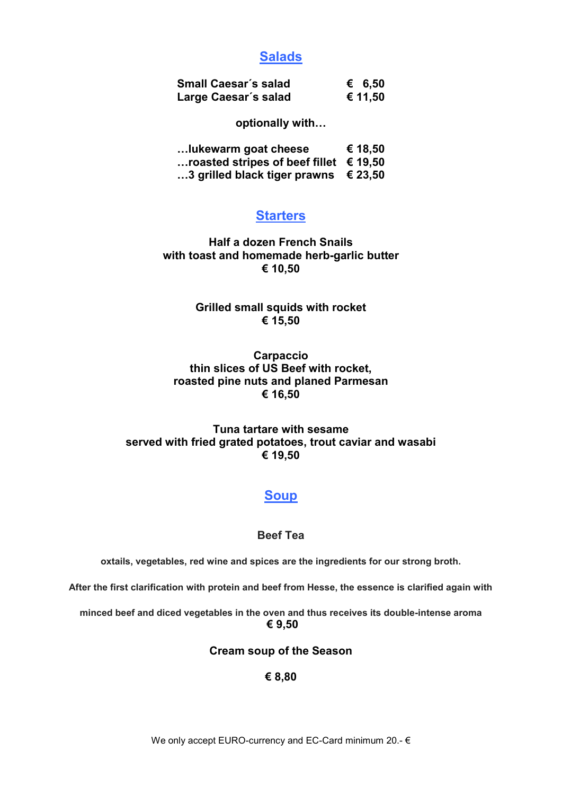## **Salads**

| <b>Small Caesar's salad</b> | € 6,50  |
|-----------------------------|---------|
| Large Caesar's salad        | € 11,50 |

**optionally with…**

| Iukewarm goat cheese |  |  | € 18,50 |  |
|----------------------|--|--|---------|--|
|                      |  |  |         |  |

**…roasted stripes of beef fillet € 19,50**

**…3 grilled black tiger prawns € 23,50**

## **Starters**

**Half a dozen French Snails with toast and homemade herb-garlic butter € 10,50**

> **Grilled small squids with rocket € 15,50**

#### **Carpaccio thin slices of US Beef with rocket, roasted pine nuts and planed Parmesan € 16,50**

### **Tuna tartare with sesame served with fried grated potatoes, trout caviar and wasabi € 19,50**

# **Soup**

### **Beef Tea**

**oxtails, vegetables, red wine and spices are the ingredients for our strong broth.** 

**After the first clarification with protein and beef from Hesse, the essence is clarified again with** 

**minced beef and diced vegetables in the oven and thus receives its double-intense aroma € 9,50**

#### **Cream soup of the Season**

## **€ 8,80**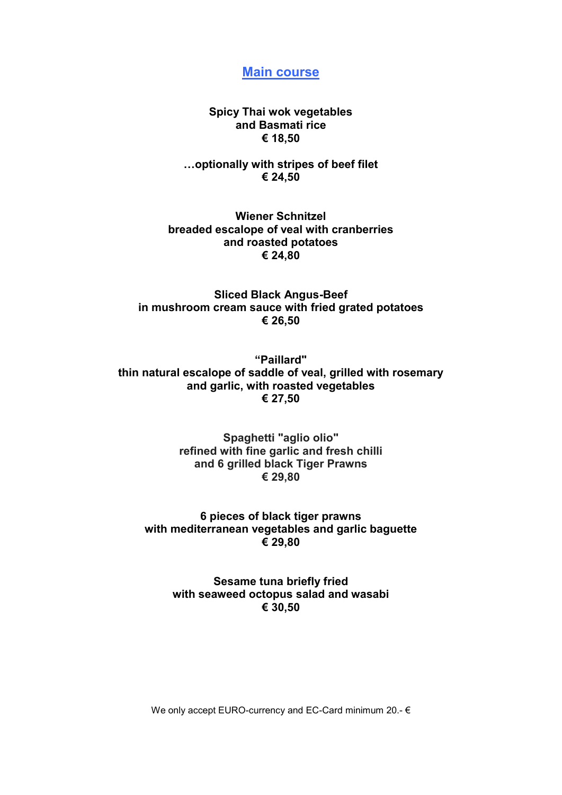**Main course**

**Spicy Thai wok vegetables and Basmati rice € 18,50**

**…optionally with stripes of beef filet € 24,50**

**Wiener Schnitzel breaded escalope of veal with cranberries and roasted potatoes € 24,80**

**Sliced Black Angus-Beef in mushroom cream sauce with fried grated potatoes € 26,50**

**"Paillard" thin natural escalope of saddle of veal, grilled with rosemary and garlic, with roasted vegetables € 27,50**

> **Spaghetti "aglio olio" refined with fine garlic and fresh chilli and 6 grilled black Tiger Prawns € 29,80**

**6 pieces of black tiger prawns with mediterranean vegetables and garlic baguette € 29,80**

> **Sesame tuna briefly fried with seaweed octopus salad and wasabi € 30,50**

We only accept EURO-currency and EC-Card minimum 20.- €